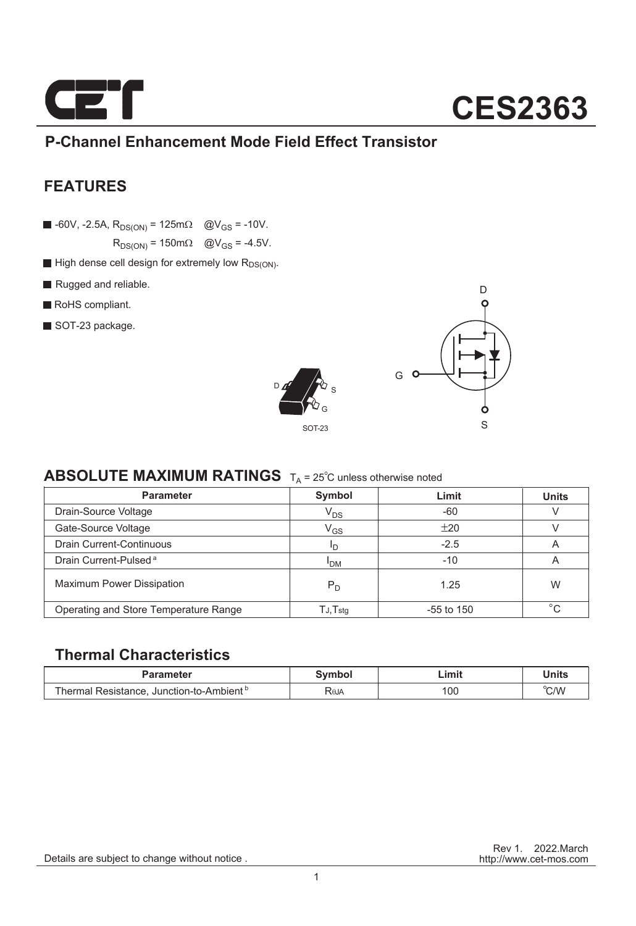

### **P-Channel Enhancement Mode Field Effect Transistor**

### **FEATURES**

 $\blacksquare$  -60V, -2.5A,  $R_{DS(ON)} = 125 \text{m}\Omega$  @V<sub>GS</sub> = -10V.

 $R_{DS(ON)} = 150 \text{m}\Omega$  @V<sub>GS</sub> = -4.5V.

- $\blacksquare$  High dense cell design for extremely low  $R_{DS(ON)}$ .
- Rugged and reliable.
- RoHS compliant.
- SOT-23 package.





### **ABSOLUTE MAXIMUM RATINGS**  $T_A = 25^\circ$ C unless otherwise noted

| <b>Parameter</b>                      | Symbol                     | Limit        | <b>Units</b> |
|---------------------------------------|----------------------------|--------------|--------------|
| Drain-Source Voltage                  | $V_{DS}$                   | $-60$        |              |
| Gate-Source Voltage                   | $\mathsf{V}_{\mathsf{GS}}$ | ±20          |              |
| <b>Drain Current-Continuous</b>       | חי                         | $-2.5$       | A            |
| Drain Current-Pulsed <sup>a</sup>     | <sup>I</sup> DM            | $-10$        | A            |
| <b>Maximum Power Dissipation</b>      | $P_D$                      | 1.25         | W            |
| Operating and Store Temperature Range | $T$ J, $T$ stq             | $-55$ to 150 | $\circ$      |

### **Thermal Characteristics**

| Parameter                                            | Svmbol | Limit | Units |
|------------------------------------------------------|--------|-------|-------|
| Thermal Resistance. Junction-to-Ambient <sup>b</sup> | RθJA   | 100   | °C/W  |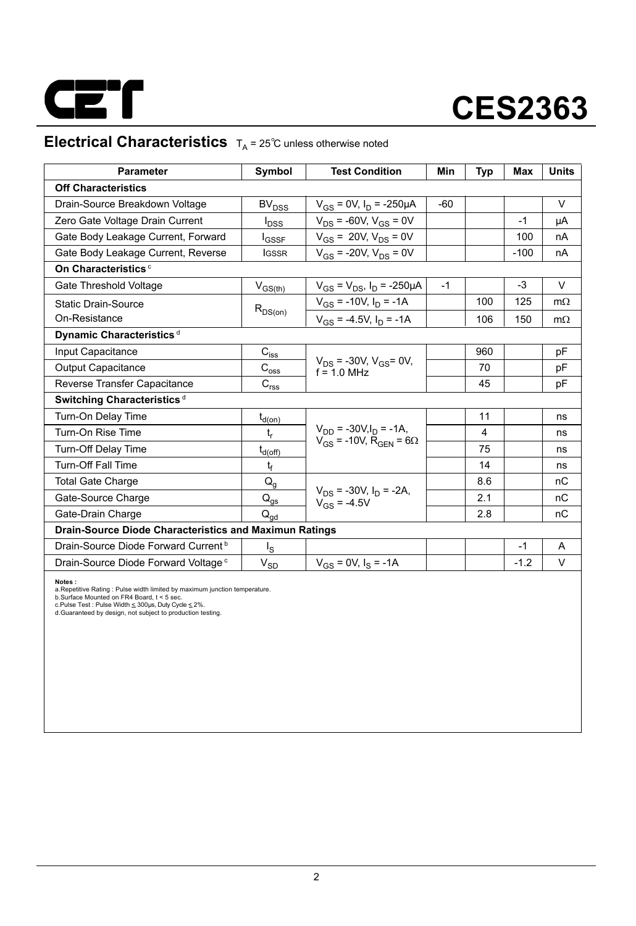

### **Electrical Characteristics**  $T_A = 25^\circ \text{C}$  unless otherwise noted

| <b>Parameter</b>                                              | Symbol                                 | <b>Test Condition</b>                                                           | Min   | Typ | Max    | <b>Units</b> |  |  |  |  |
|---------------------------------------------------------------|----------------------------------------|---------------------------------------------------------------------------------|-------|-----|--------|--------------|--|--|--|--|
| <b>Off Characteristics</b>                                    |                                        |                                                                                 |       |     |        |              |  |  |  |  |
| Drain-Source Breakdown Voltage                                | BV <sub>DSS</sub>                      | $V_{GS} = 0V$ , $I_D = -250 \mu A$                                              | $-60$ |     |        | $\vee$       |  |  |  |  |
| Zero Gate Voltage Drain Current                               | $I_{\text{DSS}}$                       | $V_{DS}$ = -60V, $V_{GS}$ = 0V                                                  |       |     | $-1$   | μA           |  |  |  |  |
| Gate Body Leakage Current, Forward                            | <b>I</b> GSSF                          | $V_{GS}$ = 20V, $V_{DS}$ = 0V                                                   |       |     | 100    | nA           |  |  |  |  |
| Gate Body Leakage Current, Reverse                            | <b>IGSSR</b>                           | $V_{GS}$ = -20V, $V_{DS}$ = 0V                                                  |       |     | $-100$ | nA           |  |  |  |  |
| On Characteristics <sup>c</sup>                               |                                        |                                                                                 |       |     |        |              |  |  |  |  |
| Gate Threshold Voltage                                        | $V_{GS(th)}$                           | $V_{GS} = V_{DS}$ , $I_D = -250 \mu A$                                          | $-1$  |     | $-3$   | V            |  |  |  |  |
| <b>Static Drain-Source</b>                                    |                                        | $V_{GS}$ = -10V, $I_D$ = -1A                                                    |       | 100 | 125    | $m\Omega$    |  |  |  |  |
| On-Resistance                                                 | $R_{DS(on)}$                           | $V_{GS}$ = -4.5V, $I_D$ = -1A                                                   |       | 106 | 150    | $m\Omega$    |  |  |  |  |
| Dynamic Characteristics <sup>d</sup>                          |                                        |                                                                                 |       |     |        |              |  |  |  |  |
| Input Capacitance                                             | $C_{\text{iss}}$                       |                                                                                 |       | 960 |        | pF           |  |  |  |  |
| <b>Output Capacitance</b>                                     | $\mathrm{C_{oss}}$                     | $V_{DS}$ = -30V, $V_{GS}$ = 0V,<br>$f = 10$ MHz                                 |       | 70  |        | рF           |  |  |  |  |
| Reverse Transfer Capacitance                                  | $\mathbf{C}_{\text{rss}}$              |                                                                                 |       | 45  |        | рF           |  |  |  |  |
| Switching Characteristics <sup>d</sup>                        |                                        |                                                                                 |       |     |        |              |  |  |  |  |
| Turn-On Delay Time                                            | $t_{d(0n)}$                            |                                                                                 |       | 11  |        | ns           |  |  |  |  |
| Turn-On Rise Time                                             | $t_r$                                  | $V_{DD}$ = -30V, $I_D$ = -1A,<br>$V_{GS}$ = -10V, R <sub>GEN</sub> = 6 $\Omega$ |       | 4   |        | ns           |  |  |  |  |
| Turn-Off Delay Time                                           | $t_{d(off)}$                           |                                                                                 |       | 75  |        | ns           |  |  |  |  |
| <b>Turn-Off Fall Time</b>                                     | t                                      |                                                                                 |       | 14  |        | ns           |  |  |  |  |
| <b>Total Gate Charge</b>                                      | $Q_{q}$                                |                                                                                 |       | 8.6 |        | nC           |  |  |  |  |
| Gate-Source Charge                                            | $\mathsf{Q}_{\underline{\mathsf{gs}}}$ | $V_{DS}$ = -30V, $I_D$ = -2A,<br>$V_{GS} = -4.5V$                               |       | 2.1 |        | nC           |  |  |  |  |
| Gate-Drain Charge                                             | $\mathsf{Q}_{\mathsf{qd}}$             |                                                                                 |       | 2.8 |        | nC           |  |  |  |  |
| <b>Drain-Source Diode Characteristics and Maximun Ratings</b> |                                        |                                                                                 |       |     |        |              |  |  |  |  |
| Drain-Source Diode Forward Current <sup>b</sup>               | $I_{\rm S}$                            |                                                                                 |       |     | $-1$   | A            |  |  |  |  |
| Drain-Source Diode Forward Voltage <sup>c</sup>               | $\rm V_{SD}$                           | $V_{cs} = 0V$ , $I_s = -1A$                                                     |       |     | $-1.2$ | V            |  |  |  |  |

**Notes :**<br>a.Repetitive Rating : Pulse width limited by maximum junction temperature.<br>b.Surface Mounted on FR4 Board, t < 5 sec.<br>c.Pulse Test : Pulse Width ≤ 300µs, Duty Cyde ≤ 2%.<br>d.Guaranteed by design, not subject to pr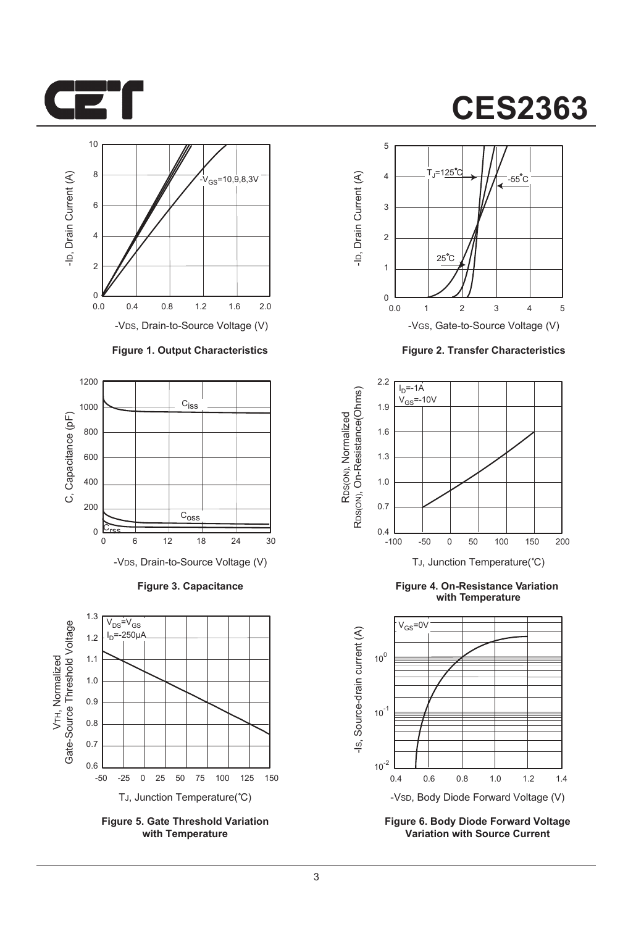



#### **Figure 1. Output Characteristics**



**Figure 3. Capacitance**



**Figure 5. Gate Threshold Variation with Temperature**

# **CES2363**



**Figure 2. Transfer Characteristics**



**Figure 4. On-Resistance Variation with Temperature**



**Figure 6. Body Diode Forward Voltage Variation with Source Current**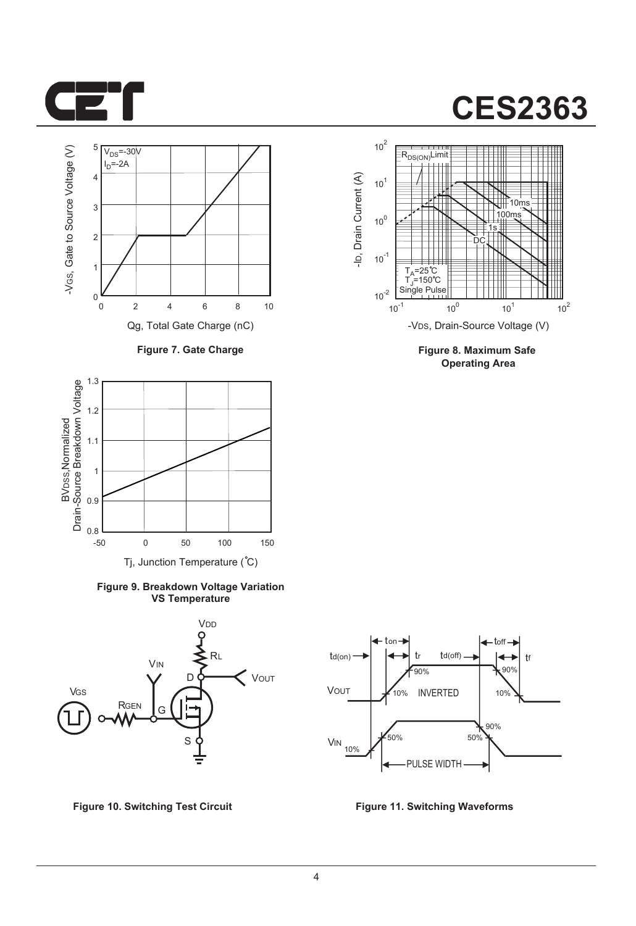



**Figure 7. Gate Charge**



**Figure 9. Breakdown Voltage Variation VS Temperature**





**Figure 8. Maximum Safe Operating Area**



**Figure 10. Switching Test Circuit Figure 11. Switching Waveforms**